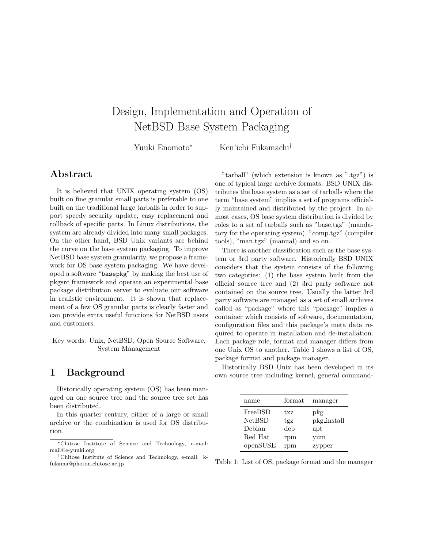# Design, Implementation and Operation of NetBSD Base System Packaging

Yuuki Enomoto*<sup>∗</sup>* Ken'ichi Fukamachi*†*

## **Abstract**

It is believed that UNIX operating system (OS) built on fine granular small parts is preferable to one built on the traditional large tarballs in order to support speedy security update, easy replacement and rollback of specific parts. In Linux distributions, the system are already divided into many small packages. On the other hand, BSD Unix variants are behind the curve on the base system packaging. To improve NetBSD base system granularity, we propose a framework for OS base system packaging. We have developed a software "basepkg" by making the best use of pkgsrc framework and operate an experimental base package distribution server to evaluate our software in realistic environment. It is shown that replacement of a few OS granular parts is clearly faster and can provide extra useful functions for NetBSD users and customers.

Key words: Unix, NetBSD, Open Source Software, System Management

## **1 Background**

Historically operating system (OS) has been managed on one source tree and the source tree set has been distributed.

In this quarter century, either of a large or small archive or the combination is used for OS distribution.

"tarball" (which extension is known as ".tgz") is one of typical large archive formats. BSD UNIX distributes the base system as a set of tarballs where the term "base system" implies a set of programs officially maintained and distributed by the project. In almost cases, OS base system distribution is divided by roles to a set of tarballs such as "base.tgz" (mandatory for the operating system), "comp.tgz" (compiler tools), "man.tgz" (manual) and so on.

There is another classification such as the base system or 3rd party software. Historically BSD UNIX considers that the system consists of the following two categories: (1) the base system built from the official source tree and (2) 3rd party software not contained on the source tree. Usually the latter 3rd party software are managed as a set of small archives called as "package" where this "package" implies a container which consists of software, documentation, configuration files and this package's meta data required to operate in installation and de-installation. Each package role, format and manager differs from one Unix OS to another. Table 1 shows a list of OS, package format and package manager.

Historically BSD Unix has been developed in its own source tree including kernel, general command-

| name          | format | manager     |
|---------------|--------|-------------|
| FreeBSD       | txz    | pkg         |
| <b>NetBSD</b> | tgz    | pkg_install |
| Debian        | deb    | apt         |
| Red Hat       | rpm    | yum         |
| openSUSE      | rpm    | zypper      |

Table 1: List of OS, package format and the manager

*<sup>∗</sup>*Chitose Institute of Science and Technology, e-mail: mail@e-yuuki.org

*<sup>†</sup>*Chitose Institute of Science and Technology, e-mail: kfukama@photon.chitose.ac.jp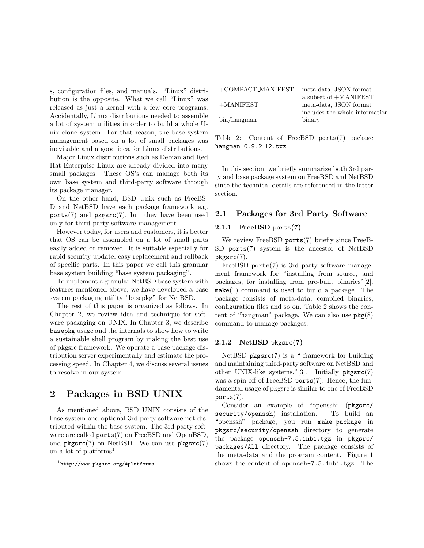s, configuration files, and manuals. "Linux" distribution is the opposite. What we call "Linux" was released as just a kernel with a few core programs. Accidentally, Linux distributions needed to assemble a lot of system utilities in order to build a whole Unix clone system. For that reason, the base system management based on a lot of small packages was inevitable and a good idea for Linux distributions.

Major Linux distributions such as Debian and Red Hat Enterprise Linux are already divided into many small packages. These OS's can manage both its own base system and third-party software through its package manager.

On the other hand, BSD Unix such as FreeBS-D and NetBSD have each package framework e.g.  $ports(7)$  and  $pkgsrc(7)$ , but they have been used only for third-party software management.

However today, for users and customers, it is better that OS can be assembled on a lot of small parts easily added or removed. It is suitable especially for rapid security update, easy replacement and rollback of specific parts. In this paper we call this granular base system building "base system packaging".

To implement a granular NetBSD base system with features mentioned above, we have developed a base system packaging utility "basepkg" for NetBSD.

The rest of this paper is organized as follows. In Chapter 2, we review idea and technique for software packaging on UNIX. In Chapter 3, we describe basepkg usage and the internals to show how to write a sustainable shell program by making the best use of pkgsrc framework. We operate a base package distribution server experimentally and estimate the processing speed. In Chapter 4, we discuss several issues to resolve in our system.

### **2 Packages in BSD UNIX**

As mentioned above, BSD UNIX consists of the base system and optional 3rd party software not distributed within the base system. The 3rd party software are called ports(7) on FreeBSD and OpenBSD, and  $pkgsrc(7)$  on NetBSD. We can use  $pkgsrc(7)$ on a lot of platforms<sup>1</sup>.

| $+$ COMPACT_MANIFEST | meta-data, JSON format         |
|----------------------|--------------------------------|
|                      | a subset of +MANIFEST          |
| $+$ MANIFEST         | meta-data, JSON format         |
|                      | includes the whole information |
| bin/hangman          | binary                         |

Table 2: Content of FreeBSD ports(7) package hangman-0.9.2\_12.txz.

In this section, we briefly summarize both 3rd party and base package system on FreeBSD and NetBSD since the technical details are referenced in the latter section.

#### **2.1 Packages for 3rd Party Software**

#### **2.1.1 FreeBSD** ports**(7)**

We review FreeBSD ports(7) briefly since FreeB-SD ports(7) system is the ancestor of NetBSD pkgsrc(7).

FreeBSD ports $(7)$  is 3rd party software management framework for "installing from source, and packages, for installing from pre-built binaries"[2].  $make(1)$  command is used to build a package. The package consists of meta-data, compiled binaries, configuration files and so on. Table 2 shows the content of "hangman" package. We can also use  $pkg(8)$ command to manage packages.

#### **2.1.2 NetBSD** pkgsrc**(7)**

 $NetBSD$  pkgsrc $(7)$  is a " framework for building and maintaining third-party software on NetBSD and other UNIX-like systems."[3]. Initially pkgsrc(7) was a spin-off of FreeBSD ports $(7)$ . Hence, the fundamental usage of pkgsrc is similar to one of FreeBSD ports(7).

Consider an example of "openssh" (pkgsrc/ security/openssh) installation. To build an "openssh" package, you run make package in pkgsrc/security/openssh directory to generate the package openssh-7.5.1nb1.tgz in pkgsrc/ packages/All directory. The package consists of the meta-data and the program content. Figure 1 shows the content of openssh-7.5.1nb1.tgz. The

<sup>1</sup>http://www.pkgsrc.org/#platforms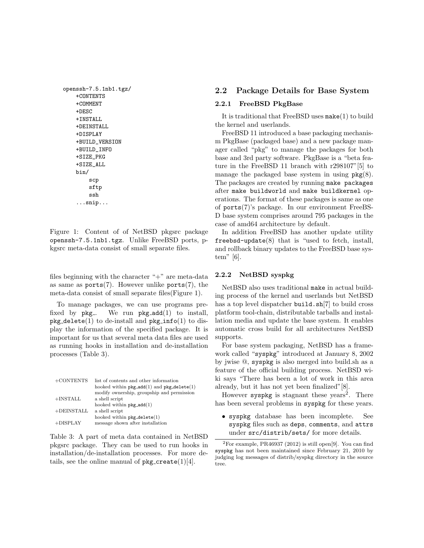```
openssh-7.5.1nb1.tgz/
   +CONTENTS
   +COMMENT
   +DESC
   +INSTALL
   +DEINSTALL
   +DISPLAY
   +BUILD_VERSION
   +BUILD_INFO
   +SIZE_PKG
   +SIZE_ALL
   bin/
       scp
       sftp
       ssh
   ...snip...
```
Figure 1: Content of of NetBSD pkgsrc package openssh-7.5.1nb1.tgz. Unlike FreeBSD ports, pkgsrc meta-data consist of small separate files.

files beginning with the character " $+$ " are meta-data as same as  $ports(7)$ . However unlike  $ports(7)$ , the meta-data consist of small separate files(Figure 1).

To manage packages, we can use programs prefixed by  $pkg$ . We run  $pkg$ -add $(1)$  to install,  $pkg$ -delete(1) to de-install and  $pkg$ -info(1) to display the information of the specified package. It is important for us that several meta data files are used as running hooks in installation and de-installation processes (Table 3).

| $+$ CONTENTS  | list of contents and other information<br>hooked within $pkg$ <sub>-add</sub> $(1)$ and $pkg$ -delete $(1)$ |
|---------------|-------------------------------------------------------------------------------------------------------------|
|               | modify ownership, groupship and permission                                                                  |
| $+$ INSTALL   | a shell script                                                                                              |
|               | hooked within $pkg$ <sub>-</sub> $add(1)$                                                                   |
| $+$ DEINSTALL | a shell script                                                                                              |
|               | hooked within $pkg$ -delete $(1)$                                                                           |
| $+DISPLAY$    | message shown after installation                                                                            |

Table 3: A part of meta data contained in NetBSD pkgsrc package. They can be used to run hooks in installation/de-installation processes. For more details, see the online manual of  $pkg\_create(1)[4]$ .

### **2.2 Package Details for Base System**

#### **2.2.1 FreeBSD PkgBase**

It is traditional that FreeBSD uses make(1) to build the kernel and userlands.

FreeBSD 11 introduced a base packaging mechanism PkgBase (packaged base) and a new package manager called "pkg" to manage the packages for both base and 3rd party software. PkgBase is a "beta feature in the FreeBSD 11 branch with r298107"[5] to manage the packaged base system in using  $pkg(8)$ . The packages are created by running make packages after make buildworld and make buildkernel operations. The format of these packages is same as one of ports(7)'s package. In our environment FreeBS-D base system comprises around 795 packages in the case of amd64 architecture by default.

In addition FreeBSD has another update utility freebsd-update(8) that is "used to fetch, install, and rollback binary updates to the FreeBSD base system"  $[6]$ .

#### **2.2.2 NetBSD syspkg**

NetBSD also uses traditional make in actual building process of the kernel and userlands but NetBSD has a top level dispatcher build.sh[7] to build cross platform tool-chain, distributable tarballs and installation media and update the base system. It enables automatic cross build for all architectures NetBSD supports.

For base system packaging, NetBSD has a framework called "syspkg" introduced at January 8, 2002 by jwise @, syspkg is also merged into build.sh as a feature of the official building process. NetBSD wiki says "There has been a lot of work in this area already, but it has not yet been finalized"[8].

However syspkg is stagnant these years<sup>2</sup>. There has been several problems in syspkg for these years.

*•* syspkg database has been incomplete. See syspkg files such as deps, comments, and attrs under src/distrib/sets/ for more details.

 ${}^{2}$ For example, PR46937 (2012) is still open<sup>[9]</sup>. You can find syspkg has not been maintained since February 21, 2010 by judging log messages of distrib/syspkg directory in the source tree.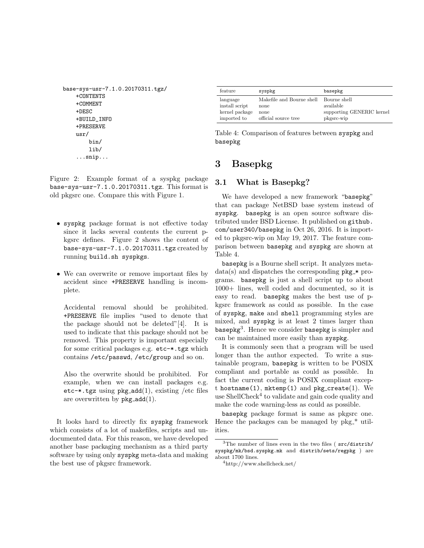```
base-sys-usr-7.1.0.20170311.tgz/
   +CONTENTS
   +COMMENT
   +DESC
   +BUILD_INFO
   +PRESERVE
   usr/
       bin/
       lib/
   ...snip...
```
Figure 2: Example format of a syspkg package base-sys-usr-7.1.0.20170311.tgz. This format is old pkgsrc one. Compare this with Figure 1.

- *•* syspkg package format is not effective today since it lacks several contents the current pkgsrc defines. Figure 2 shows the content of base-sys-usr-7.1.0.20170311.tgz created by running build.sh syspkgs.
- We can overwrite or remove important files by accident since +PRESERVE handling is incomplete.

Accidental removal should be prohibited. +PRESERVE file implies "used to denote that the package should not be deleted"[4]. It is used to indicate that this package should not be removed. This property is important especially for some critical packages e.g. etc-\*.tgz which contains /etc/passwd, /etc/group and so on.

Also the overwrite should be prohibited. For example, when we can install packages e.g. etc- $\ast$ .tgz using pkg\_add(1), existing /etc files are overwritten by  $pkg$ <sub>-add</sub> $(1)$ .

It looks hard to directly fix syspkg framework which consists of a lot of makefiles, scripts and undocumented data. For this reason, we have developed another base packaging mechanism as a third party software by using only syspkg meta-data and making the best use of pkgsrc framework.

| feature                                      | syspkg                                                 | basepkg                                |
|----------------------------------------------|--------------------------------------------------------|----------------------------------------|
| language<br>install script<br>kernel package | Makefile and Bourne shell Bourne shell<br>none<br>none | available<br>supporting GENERIC kernel |
| imported to                                  | official source tree                                   | pkgsrc-wip                             |

Table 4: Comparison of features between syspkg and basepkg

# **3 Basepkg**

### **3.1 What is Basepkg?**

We have developed a new framework "basepkg" that can package NetBSD base system instead of syspkg. basepkg is an open source software distributed under BSD License. It published on github. com/user340/basepkg in Oct 26, 2016. It is imported to pkgsrc-wip on May 19, 2017. The feature comparison between basepkg and syspkg are shown at Table 4.

basepkg is a Bourne shell script. It analyzes meta $data(s)$  and dispatches the corresponding  $pkg$  programs. basepkg is just a shell script up to about 1000+ lines, well coded and documented, so it is easy to read. basepkg makes the best use of pkgsrc framework as could as possible. In the case of syspkg, make and shell programming styles are mixed, and syspkg is at least 2 times larger than basepkg $^3$ . Hence we consider basepkg is simpler and can be maintained more easily than syspkg.

It is commonly seen that a program will be used longer than the author expected. To write a sustainable program, basepkg is written to be POSIX compliant and portable as could as possible. In fact the current coding is POSIX compliant except hostname(1), mktemp(1) and pkg\_create(1). We use ShellCheck<sup>4</sup> to validate and gain code quality and make the code warning-less as could as possible.

basepkg package format is same as pkgsrc one. Hence the packages can be managed by  $pkg_*^*$  utilities.

<sup>3</sup>The number of lines even in the two files ( src/distrib/ syspkg/mk/bsd.syspkg.mk and distrib/sets/regpkg ) are about 1700 lines.

<sup>4</sup>http://www.shellcheck.net/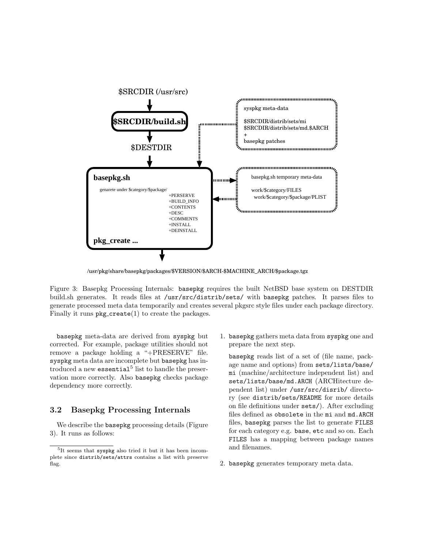

/usr/pkg/share/basepkg/packages/\$VERSION/\$ARCH-\$MACHINE\_ARCH/\$package.tgz

Figure 3: Basepkg Processing Internals: basepkg requires the built NetBSD base system on DESTDIR build.sh generates. It reads files at /usr/src/distrib/sets/ with basepkg patches. It parses files to generate processed meta data temporarily and creates several pkgsrc style files under each package directory. Finally it runs  $pkg\_create(1)$  to create the packages.

basepkg meta-data are derived from syspkg but corrected. For example, package utilities should not remove a package holding a "+PRESERVE" file. syspkg meta data are incomplete but basepkg has in $t$ roduced a new essential $5$  list to handle the preservation more correctly. Also basepkg checks package dependency more correctly.

#### **3.2 Basepkg Processing Internals**

We describe the basepkg processing details (Figure 3). It runs as follows:

1. basepkg gathers meta data from syspkg one and prepare the next step.

basepkg reads list of a set of (file name, package name and options) from sets/lists/base/ mi (machine/architecture independent list) and sets/lists/base/md.ARCH (ARCHitecture dependent list) under /usr/src/disrib/ directory (see distrib/sets/README for more details on file definitions under sets/). After excluding files defined as obsolete in the mi and md.ARCH files, basepkg parses the list to generate FILES for each category e.g. base, etc and so on. Each FILES has a mapping between package names and filenames.

2. basepkg generates temporary meta data.

<sup>5</sup> It seems that syspkg also tried it but it has been incomplete since distrib/sets/attrs contains a list with preserve flag.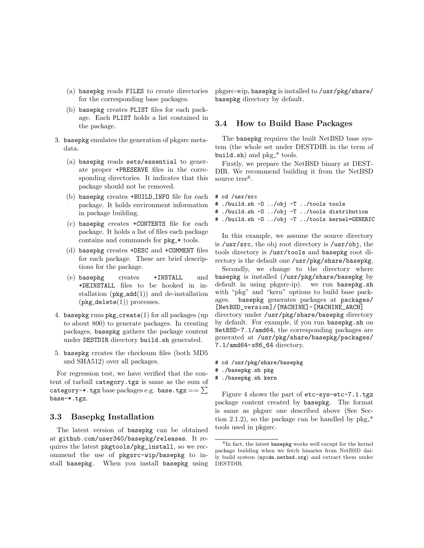- (a) basepkg reads FILES to create directories for the corresponding base packages.
- (b) basepkg creates PLIST files for each package. Each PLIST holds a list contained in the package.
- 3. basepkg emulates the generation of pkgsrc metadata.
	- (a) basepkg reads sets/essential to generate proper +PRESERVE files in the corresponding directories. It indicates that this package should not be removed.
	- (b) basepkg creates +BUILD INFO file for each package. It holds environment information in package building.
	- (c) basepkg creates +CONTENTS file for each package. It holds a list of files each package contains and commands for  $pkg$  \* tools.
	- (d) basepkg creates +DESC and +COMMENT files for each package. These are brief descriptions for the package.
	- (e) basepkg creates +INSTALL and +DEINSTALL files to be hooked in installation  $(\mathsf{pkg\_add}(1))$  and de-installation  $(\text{pkg}_d \cdot \text{delete}(1))$  processes.
- 4. basepkg runs  $pkg\_create(1)$  for all packages (up to about 800) to generate packages. In creating packages, basepkg gathers the package content under DESTDIR directory build.sh generated.
- 5. basepkg creates the checksum files (both MD5 and SHA512) over all packages.

For regression test, we have verified that the content of tarball category.tgz is same as the sum of category-\*.tgz base packages e.g. base.tgz ==  $\Sigma$ base-\*.tgz.

#### **3.3 Basepkg Installation**

The latest version of basepkg can be obtained at github.com/user340/basepkg/releases. It requires the latest pkgtools/pkg\_install, so we recommend the use of pkgsrc-wip/basepkg to install basepkg. When you install basepkg using pkgsrc-wip, basepkg is installed to /usr/pkg/share/ basepkg directory by default.

#### **3.4 How to Build Base Packages**

The basepkg requires the built NetBSD base system (the whole set under DESTDIR in the term of build.sh) and  $pkg_*^*$  tools.

Firstly, we prepare the NetBSD binary at DEST-DIR. We recommend building it from the NetBSD source tree<sup>6</sup>.

#### # cd /usr/src

- # ./build.sh -O ../obj -T ../tools tools
- # ./build.sh -O ../obj -T ../tools distribution
- # ./build.sh -O ../obj -T ../tools kernel=GENERIC

In this example, we assume the source directory is /usr/src, the obj root directory is /usr/obj, the tools directory is /usr/tools and basepkg root directory is the default one /usr/pkg/share/basepkg.

Secondly, we change to the directory where basepkg is installed (/usr/pkg/share/basepkg by default in using pkgsrc-ip). we run basepkg.sh with "pkg" and "kern" options to build base packages. basepkg generates packages at packages/ [NetBSD\_version]/[MACHINE]-[MACHINE\_ARCH] directory under /usr/pkg/share/basepkg directory by default. For example, if you run basepkg.sh on NetBSD-7.1/amd64, the corresponding packages are generated at /usr/pkg/share/basepkg/packages/ 7.1/amd64-x86\_64 directory.

- # cd /usr/pkg/share/basepkg
- # ./basepkg.sh pkg
- # ./basepkg.sh kern

Figure 4 shows the part of etc-sys-etc-7.1.tgz package content created by basepkg. The format is same as pkgsrc one described above (See Section 2.1.2), so the package can be handled by  $pkg_*$ tools used in pkgsrc.

<sup>6</sup> In fact, the latest basepkg works well except for the kernel package building when we fetch binaries from NetBSD daily build system (nycdn.netbsd.org) and extract them under DESTDIR.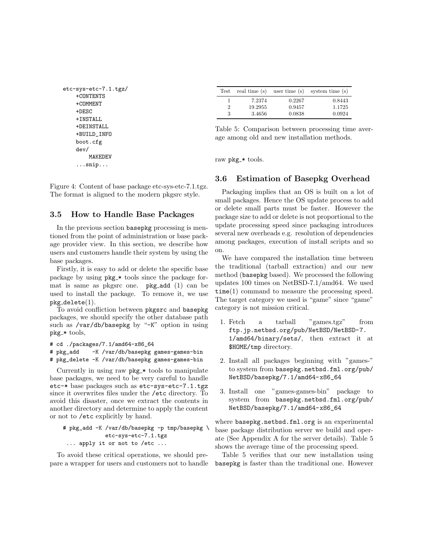```
etc-sys-etc-7.1.tgz/
   +CONTENTS
   +COMMENT
   +DESC
   +INSTALL
   +DEINSTALL
   +BUILD_INFO
   boot.cfg
   dev/
       MAKEDEV
   ...snip...
```
Figure 4: Content of base package etc-sys-etc-7.1.tgz. The format is aligned to the modern pkgsrc style.

#### **3.5 How to Handle Base Packages**

In the previous section basepkg processing is mentioned from the point of administration or base package provider view. In this section, we describe how users and customers handle their system by using the base packages.

Firstly, it is easy to add or delete the specific base package by using pkg \* tools since the package format is same as pkgsrc one.  $pkg$ -add  $(1)$  can be used to install the package. To remove it, we use  $pkg$  delete $(1)$ .

To avoid confliction between pkgsrc and basepkg packages, we should specify the other database path such as /var/db/basepkg by "-K" option in using  $pkg$  \* tools,

# cd ./packages/7.1/amd64-x86\_64

```
# pkg_add -K /var/db/basepkg games-games-bin
```

```
# pkg_delete -K /var/db/basepkg games-games-bin
```
Currently in using raw  $pkg$  tools to manipulate base packages, we need to be very careful to handle etc-\* base packages such as etc-sys-etc-7.1.tgz since it overwrites files under the /etc directory. To avoid this disaster, once we extract the contents in another directory and determine to apply the content or not to /etc explicitly by hand.

```
# pkg_add -K /var/db/basepkg -p tmp/basepkg \
            etc-sys-etc-7.1.tgz
... apply it or not to /etc ...
```
To avoid these critical operations, we should prepare a wrapper for users and customers not to handle

| Test | real time (s) |        | user time $(s)$ system time $(s)$ |
|------|---------------|--------|-----------------------------------|
|      | 7.2374        | 0.2267 | 0.8443                            |
| 2    | 19.2955       | 0.9457 | 1.1725                            |
| 3    | 3.4656        | 0.0838 | 0.0924                            |

Table 5: Comparison between processing time average among old and new installation methods.

raw pkg\_\* tools.

#### **3.6 Estimation of Basepkg Overhead**

Packaging implies that an OS is built on a lot of small packages. Hence the OS update process to add or delete small parts must be faster. However the package size to add or delete is not proportional to the update processing speed since packaging introduces several new overheads e.g. resolution of dependencies among packages, execution of install scripts and so on.

We have compared the installation time between the traditional (tarball extraction) and our new method (basepkg based). We processed the following updates 100 times on NetBSD-7.1/amd64. We used time(1) command to measure the processing speed. The target category we used is "game" since "game" category is not mission critical.

- 1. Fetch a tarball "games.tgz" from ftp.jp.netbsd.org/pub/NetBSD/NetBSD-7. 1/amd64/binary/sets/, then extract it at \$HOME/tmp directory.
- 2. Install all packages beginning with "games-" to system from basepkg.netbsd.fml.org/pub/ NetBSD/basepkg/7.1/amd64-x86\_64
- 3. Install one "games-games-bin" package to system from basepkg.netbsd.fml.org/pub/ NetBSD/basepkg/7.1/amd64-x86\_64

where basepkg.netbsd.fml.org is an experimental base package distribution server we build and operate (See Appendix A for the server details). Table 5 shows the average time of the processing speed.

Table 5 verifies that our new installation using basepkg is faster than the traditional one. However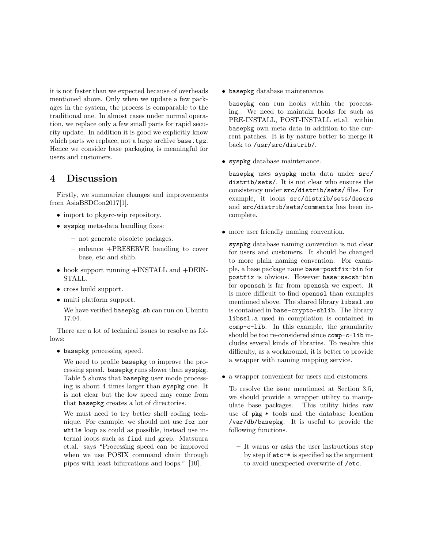it is not faster than we expected because of overheads mentioned above. Only when we update a few packages in the system, the process is comparable to the traditional one. In almost cases under normal operation, we replace only a few small parts for rapid security update. In addition it is good we explicitly know which parts we replace, not a large archive base.tgz. Hence we consider base packaging is meaningful for users and customers.

# **4 Discussion**

Firstly, we summarize changes and improvements from AsiaBSDCon2017[1].

- import to pkgsrc-wip repository.
- *•* syspkg meta-data handling fixes:
	- **–** not generate obsolete packages.
	- **–** enhance +PRESERVE handling to cover base, etc and shlib.
- hook support running +INSTALL and +DEIN-STALL.
- *•* cross build support.
- multi platform support.

We have verified basepkg.sh can run on Ubuntu 17.04.

There are a lot of technical issues to resolve as fol $l$ ows:

*•* basepkg processing speed.

We need to profile basepkg to improve the processing speed. basepkg runs slower than syspkg. Table 5 shows that basepkg user mode processing is about 4 times larger than syspkg one. It is not clear but the low speed may come from that basepkg creates a lot of directories.

We must need to try better shell coding technique. For example, we should not use for nor while loop as could as possible, instead use internal loops such as find and grep. Matsuura et.al. says "Processing speed can be improved when we use POSIX command chain through pipes with least bifurcations and loops." [10].

*•* basepkg database maintenance.

basepkg can run hooks within the processing. We need to maintain hooks for such as PRE-INSTALL, POST-INSTALL et.al. within basepkg own meta data in addition to the current patches. It is by nature better to merge it back to /usr/src/distrib/.

*•* syspkg database maintenance.

basepkg uses syspkg meta data under src/ distrib/sets/. It is not clear who ensures the consistency under src/distrib/sets/ files. For example, it looks src/distrib/sets/descrs and src/distrib/sets/comments has been incomplete.

• more user friendly naming convention.

syspkg database naming convention is not clear for users and customers. It should be changed to more plain naming convention. For example, a base package name base-postfix-bin for postfix is obvious. However base-secsh-bin for openssh is far from openssh we expect. It is more difficult to find openssl than examples mentioned above. The shared library libssl.so is contained in base-crypto-shlib. The library libssl.a used in compilation is contained in comp-c-lib. In this example, the granularity should be too re-considered since comp-c-lib includes several kinds of libraries. To resolve this difficulty, as a workaround, it is better to provide a wrapper with naming mapping service.

*•* a wrapper convenient for users and customers.

To resolve the issue mentioned at Section 3.5, we should provide a wrapper utility to manipulate base packages. This utility hides raw use of  $pkg$  \* tools and the database location /var/db/basepkg. It is useful to provide the following functions.

**–** It warns or asks the user instructions step by step if etc-\* is specified as the argument to avoid unexpected overwrite of /etc.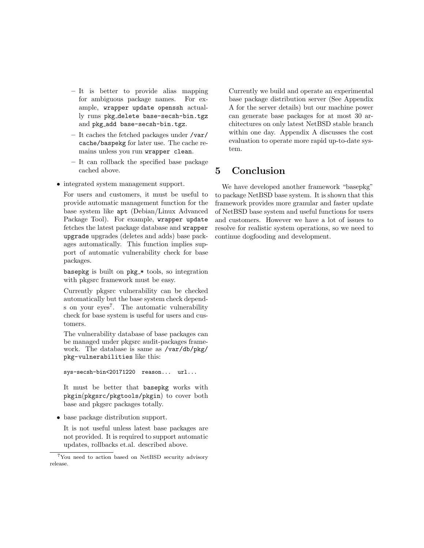- **–** It is better to provide alias mapping for ambiguous package names. For example, wrapper update openssh actually runs pkg delete base-secsh-bin.tgz and pkg add base-secsh-bin.tgz.
- **–** It caches the fetched packages under /var/ cache/baspekg for later use. The cache remains unless you run wrapper clean.
- **–** It can rollback the specified base package cached above.
- integrated system management support.

For users and customers, it must be useful to provide automatic management function for the base system like apt (Debian/Linux Advanced Package Tool). For example, wrapper update fetches the latest package database and wrapper upgrade upgrades (deletes and adds) base packages automatically. This function implies support of automatic vulnerability check for base packages.

basepkg is built on  $pkg$  \* tools, so integration with pkgsrc framework must be easy.

Currently pkgsrc vulnerability can be checked automatically but the base system check depends on your eyes<sup>7</sup>. The automatic vulnerability check for base system is useful for users and customers.

The vulnerability database of base packages can be managed under pkgsrc audit-packages framework. The database is same as /var/db/pkg/ pkg-vulnerabilities like this:

sys-secsh-bin<20171220 reason... url...

It must be better that basepkg works with pkgin(pkgsrc/pkgtools/pkgin) to cover both base and pkgsrc packages totally.

*•* base package distribution support.

It is not useful unless latest base packages are not provided. It is required to support automatic updates, rollbacks et.al. described above.

Currently we build and operate an experimental base package distribution server (See Appendix A for the server details) but our machine power can generate base packages for at most 30 architectures on only latest NetBSD stable branch within one day. Appendix A discusses the cost evaluation to operate more rapid up-to-date system.

# **5 Conclusion**

We have developed another framework "basepkg" to package NetBSD base system. It is shown that this framework provides more granular and faster update of NetBSD base system and useful functions for users and customers. However we have a lot of issues to resolve for realistic system operations, so we need to continue dogfooding and development.

<sup>7</sup>You need to action based on NetBSD security advisory release.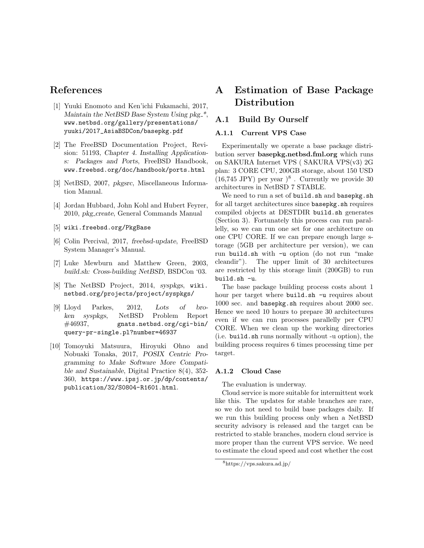## **References**

- [1] Yuuki Enomoto and Ken'ichi Fukamachi, 2017, *Maintain the NetBSD Base System Using pkg \**, www.netbsd.org/gallery/presentations/ yuuki/2017\_AsiaBSDCon/basepkg.pdf
- [2] The FreeBSD Documentation Project, Revision: 51193, *Chapter 4. Installing Applications: Packages and Ports*, FreeBSD Handbook, www.freebsd.org/doc/handbook/ports.html
- [3] NetBSD, 2007, *pkgsrc*, Miscellaneous Information Manual.
- [4] Jordan Hubbard, John Kohl and Hubert Feyrer, 2010, *pkg create*, General Commands Manual
- [5] wiki.freebsd.org/PkgBase
- [6] Colin Percival, 2017, *freebsd-update*, FreeBSD System Manager's Manual.
- [7] Luke Mewburn and Matthew Green, 2003, *build.sh: Cross-building NetBSD*, BSDCon '03.
- [8] The NetBSD Project, 2014, *syspkgs*, wiki. netbsd.org/projects/project/syspkgs/
- [9] Lloyd Parkes, 2012, *Lots of broken syspkgs*, NetBSD Problem Report #46937, gnats.netbsd.org/cgi-bin/ query-pr-single.pl?number=46937
- [10] Tomoyuki Matsuura, Hiroyuki Ohno and Nobuaki Tonaka, 2017, *POSIX Centric Programming to Make Software More Compatible and Sustainable*, Digital Practice 8(4), 352- 360, https://www.ipsj.or.jp/dp/contents/ publication/32/S0804-R1601.html.

# **A Estimation of Base Package Distribution**

### **A.1 Build By Ourself**

#### **A.1.1 Current VPS Case**

Experimentally we operate a base package distribution server **basepkg.netbsd.fml.org** which runs on SAKURA Internet VPS ( SAKURA VPS(v3) 2G plan: 3 CORE CPU, 200GB storage, about 150 USD  $(16,745$  JPY) per year  $)^8$ . Currently we provide 30 architectures in NetBSD 7 STABLE.

We need to run a set of build.sh and basepkg.sh for all target architectures since basepkg.sh requires compiled objects at DESTDIR build.sh generates (Section 3). Fortunately this process can run parallelly, so we can run one set for one architecture on one CPU CORE. If we can prepare enough large storage (5GB per architecture per version), we can run build.sh with -u option (do not run "make cleandir"). The upper limit of 30 architectures are restricted by this storage limit (200GB) to run build.sh -u.

The base package building process costs about 1 hour per target where build.sh -u requires about 1000 sec. and basepkg.sh requires about 2000 sec. Hence we need 10 hours to prepare 30 architectures even if we can run processes parallelly per CPU CORE. When we clean up the working directories (i.e. build.sh runs normally without -u option), the building process requires 6 times processing time per target.

#### **A.1.2 Cloud Case**

The evaluation is underway.

Cloud service is more suitable for intermittent work like this. The updates for stable branches are rare, so we do not need to build base packages daily. If we run this building process only when a NetBSD security advisory is released and the target can be restricted to stable branches, modern cloud service is more proper than the current VPS service. We need to estimate the cloud speed and cost whether the cost

<sup>8</sup>https://vps.sakura.ad.jp/